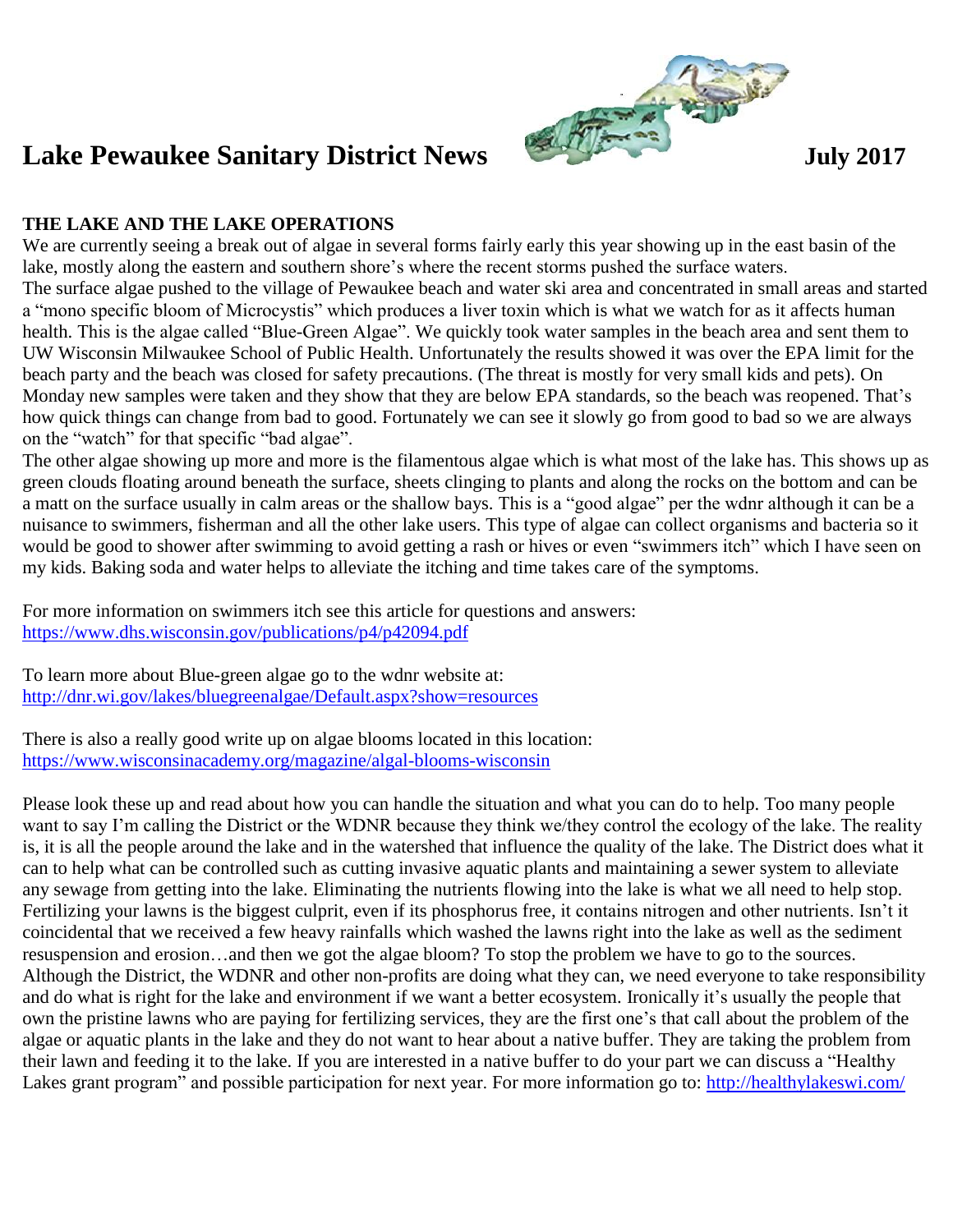

## **THE LAKE AND THE LAKE OPERATIONS**

We are currently seeing a break out of algae in several forms fairly early this year showing up in the east basin of the lake, mostly along the eastern and southern shore's where the recent storms pushed the surface waters. The surface algae pushed to the village of Pewaukee beach and water ski area and concentrated in small areas and started a "mono specific bloom of Microcystis" which produces a liver toxin which is what we watch for as it affects human health. This is the algae called "Blue-Green Algae". We quickly took water samples in the beach area and sent them to UW Wisconsin Milwaukee School of Public Health. Unfortunately the results showed it was over the EPA limit for the beach party and the beach was closed for safety precautions. (The threat is mostly for very small kids and pets). On Monday new samples were taken and they show that they are below EPA standards, so the beach was reopened. That's how quick things can change from bad to good. Fortunately we can see it slowly go from good to bad so we are always on the "watch" for that specific "bad algae".

The other algae showing up more and more is the filamentous algae which is what most of the lake has. This shows up as green clouds floating around beneath the surface, sheets clinging to plants and along the rocks on the bottom and can be a matt on the surface usually in calm areas or the shallow bays. This is a "good algae" per the wdnr although it can be a nuisance to swimmers, fisherman and all the other lake users. This type of algae can collect organisms and bacteria so it would be good to shower after swimming to avoid getting a rash or hives or even "swimmers itch" which I have seen on my kids. Baking soda and water helps to alleviate the itching and time takes care of the symptoms.

For more information on swimmers itch see this article for questions and answers: <https://www.dhs.wisconsin.gov/publications/p4/p42094.pdf>

To learn more about Blue-green algae go to the wdnr website at: <http://dnr.wi.gov/lakes/bluegreenalgae/Default.aspx?show=resources>

There is also a really good write up on algae blooms located in this location: <https://www.wisconsinacademy.org/magazine/algal-blooms-wisconsin>

Please look these up and read about how you can handle the situation and what you can do to help. Too many people want to say I'm calling the District or the WDNR because they think we/they control the ecology of the lake. The reality is, it is all the people around the lake and in the watershed that influence the quality of the lake. The District does what it can to help what can be controlled such as cutting invasive aquatic plants and maintaining a sewer system to alleviate any sewage from getting into the lake. Eliminating the nutrients flowing into the lake is what we all need to help stop. Fertilizing your lawns is the biggest culprit, even if its phosphorus free, it contains nitrogen and other nutrients. Isn't it coincidental that we received a few heavy rainfalls which washed the lawns right into the lake as well as the sediment resuspension and erosion…and then we got the algae bloom? To stop the problem we have to go to the sources. Although the District, the WDNR and other non-profits are doing what they can, we need everyone to take responsibility and do what is right for the lake and environment if we want a better ecosystem. Ironically it's usually the people that own the pristine lawns who are paying for fertilizing services, they are the first one's that call about the problem of the algae or aquatic plants in the lake and they do not want to hear about a native buffer. They are taking the problem from their lawn and feeding it to the lake. If you are interested in a native buffer to do your part we can discuss a "Healthy Lakes grant program" and possible participation for next year. For more information go to: http://healthylakeswi.com/